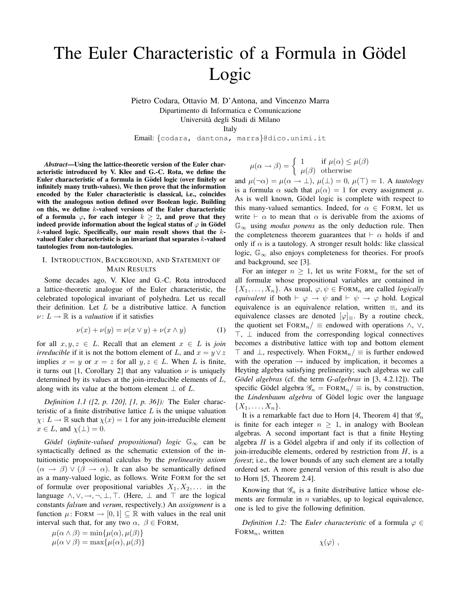# The Euler Characteristic of a Formula in Gödel Logic

Pietro Codara, Ottavio M. D'Antona, and Vincenzo Marra Dipartimento di Informatica e Comunicazione Universita degli Studi di Milano `

Italy

Email: {codara, dantona, marra}@dico.unimi.it

*Abstract*—Using the lattice-theoretic version of the Euler characteristic introduced by V. Klee and G.-C. Rota, we define the Euler characteristic of a formula in Gödel logic (over finitely or infinitely many truth-values). We then prove that the information encoded by the Euler characteristic is classical, i.e., coincides with the analogous notion defined over Boolean logic. Building on this, we define k-valued versions of the Euler characteristic of a formula  $\varphi$ , for each integer  $k > 2$ , and prove that they indeed provide information about the logical status of  $\varphi$  in Gödel  $k$ -valued logic. Specifically, our main result shows that the  $k$ valued Euler characteristic is an invariant that separates  $k$ -valued tautologies from non-tautologies.

# I. INTRODUCTION, BACKGROUND, AND STATEMENT OF MAIN RESULTS

Some decades ago, V. Klee and G.-C. Rota introduced a lattice-theoretic analogue of the Euler characteristic, the celebrated topological invariant of polyhedra. Let us recall their definition. Let  $L$  be a distributive lattice. A function  $\nu: L \to \mathbb{R}$  is a *valuation* if it satisfies

$$
\nu(x) + \nu(y) = \nu(x \lor y) + \nu(x \land y) \tag{1}
$$

for all  $x, y, z \in L$ . Recall that an element  $x \in L$  is *join irreducible* if it is not the bottom element of L, and  $x = y \vee z$ implies  $x = y$  or  $x = z$  for all  $y, z \in L$ . When L is finite, it turns out [1, Corollary 2] that any valuation  $\nu$  is uniquely determined by its values at the join-irreducible elements of L, along with its value at the bottom element  $\perp$  of  $L$ .

*Definition 1.1 ([2, p. 120], [1, p. 36]):* The Euler characteristic of a finite distributive lattice  $L$  is the unique valuation  $\chi: L \to \mathbb{R}$  such that  $\chi(x) = 1$  for any join-irreducible element  $x \in L$ , and  $\chi(\perp) = 0$ .

*Gödel* (*infinite-valued propositional*) *logic*  $\mathbb{G}_{\infty}$  can be syntactically defined as the schematic extension of the intuitionistic propositional calculus by the *prelinearity axiom*  $(\alpha \rightarrow \beta) \vee (\beta \rightarrow \alpha)$ . It can also be semantically defined as a many-valued logic, as follows. Write FORM for the set of formulæ over propositional variables  $X_1, X_2, \ldots$  in the language  $\land, \lor, \rightarrow, \neg, \bot, \top$ . (Here,  $\bot$  and  $\top$  are the logical constants *falsum* and *verum*, respectively.) An *assignment* is a function  $\mu$ : FORM  $\rightarrow$  [0, 1]  $\subseteq \mathbb{R}$  with values in the real unit interval such that, for any two  $\alpha$ ,  $\beta \in$  FORM,

$$
\mu(\alpha \wedge \beta) = \min{\mu(\alpha), \mu(\beta)}
$$
  

$$
\mu(\alpha \vee \beta) = \max{\mu(\alpha), \mu(\beta)}
$$

$$
\mu(\alpha \to \beta) = \begin{cases} 1 & \text{if } \mu(\alpha) \le \mu(\beta) \\ \mu(\beta) & \text{otherwise} \end{cases}
$$

and  $\mu(\neg \alpha) = \mu(\alpha \to \bot), \mu(\bot) = 0, \mu(\top) = 1$ . A *tautology* is a formula  $\alpha$  such that  $\mu(\alpha) = 1$  for every assignment  $\mu$ . As is well known, Gödel logic is complete with respect to this many-valued semantics. Indeed, for  $\alpha \in$  FORM, let us write  $\vdash \alpha$  to mean that  $\alpha$  is derivable from the axioms of G<sup>∞</sup> using *modus ponens* as the only deduction rule. Then the completeness theorem guarantees that  $\vdash \alpha$  holds if and only if  $\alpha$  is a tautology. A stronger result holds: like classical logic,  $\mathbb{G}_{\infty}$  also enjoys completeness for theories. For proofs and background, see [3].

For an integer  $n \geq 1$ , let us write FORM<sub>n</sub> for the set of all formulæ whose propositional variables are contained in  $\{X_1, \ldots, X_n\}$ . As usual,  $\varphi, \psi \in \text{FORM}_n$  are called *logically equivalent* if both  $\vdash \varphi \rightarrow \psi$  and  $\vdash \psi \rightarrow \varphi$  hold. Logical equivalence is an equivalence relation, written  $\equiv$ , and its equivalence classes are denoted  $[\varphi]_{\equiv}$ . By a routine check, the quotient set FORM<sub>n</sub>/  $\equiv$  endowed with operations  $\wedge$ ,  $\vee$ , >, ⊥ induced from the corresponding logical connectives becomes a distributive lattice with top and bottom element ⊤ and  $\bot$ , respectively. When FORM<sub>n</sub>/  $\equiv$  is further endowed with the operation  $\rightarrow$  induced by implication, it becomes a Heyting algebra satisfying prelinearity; such algebras we call *Gödel algebras* (cf. the term *G-algebras* in [3, 4.2.12]). The specific Gödel algebra  $\mathcal{G}_n = \text{FoRM}_n / \equiv$  is, by construction, the *Lindenbaum algebra* of Gödel logic over the language  ${X_1, \ldots, X_n}.$ 

It is a remarkable fact due to Horn [4, Theorem 4] that  $\mathscr{G}_n$ is finite for each integer  $n \geq 1$ , in analogy with Boolean algebras. A second important fact is that a finite Heyting algebra  $H$  is a Gödel algebra if and only if its collection of join-irreducible elements, ordered by restriction from  $H$ , is a *forest*; i.e., the lower bounds of any such element are a totally ordered set. A more general version of this result is also due to Horn [5, Theorem 2.4].

Knowing that  $\mathscr{G}_n$  is a finite distributive lattice whose elements are formulæ in  $n$  variables, up to logical equivalence, one is led to give the following definition.

*Definition 1.2:* The *Euler characteristic* of a formula  $\varphi \in$  $FORM_n$ , written

$$
\chi(\varphi) \; ,
$$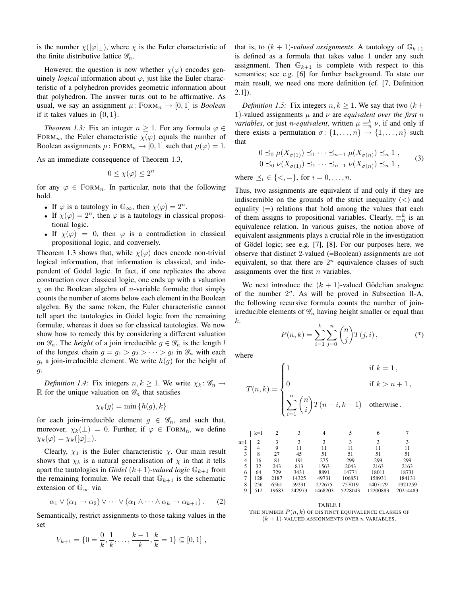is the number  $\chi([\varphi]_{\equiv})$ , where  $\chi$  is the Euler characteristic of the finite distributive lattice  $\mathscr{G}_n$ .

However, the question is now whether  $\chi(\varphi)$  encodes genuinely *logical* information about  $\varphi$ , just like the Euler characteristic of a polyhedron provides geometric information about that polyhedron. The answer turns out to be affirmative. As usual, we say an assignment  $\mu$ : FORM<sub>n</sub>  $\rightarrow$  [0, 1] is *Boolean* if it takes values in  $\{0, 1\}$ .

*Theorem 1.3:* Fix an integer  $n \geq 1$ . For any formula  $\varphi \in$ FORM<sub>n</sub>, the Euler characteristic  $\chi(\varphi)$  equals the number of Boolean assignments  $\mu$ : FORM<sub>n</sub>  $\rightarrow$  [0, 1] such that  $\mu(\varphi) = 1$ .

As an immediate consequence of Theorem 1.3,

$$
0 \le \chi(\varphi) \le 2^n
$$

for any  $\varphi \in \text{FORM}_n$ . In particular, note that the following hold.

- If  $\varphi$  is a tautology in  $\mathbb{G}_{\infty}$ , then  $\chi(\varphi) = 2^n$ .
- If  $\chi(\varphi) = 2^n$ , then  $\varphi$  is a tautology in classical propositional logic.
- If  $\chi(\varphi) = 0$ , then  $\varphi$  is a contradiction in classical propositional logic, and conversely.

Theorem 1.3 shows that, while  $\chi(\varphi)$  does encode non-trivial logical information, that information is classical, and independent of Gödel logic. In fact, if one replicates the above construction over classical logic, one ends up with a valuation  $\chi$  on the Boolean algebra of *n*-variable formulæ that simply counts the number of atoms below each element in the Boolean algebra. By the same token, the Euler characteristic cannot tell apart the tautologies in Gödel logic from the remaining formulæ, whereas it does so for classical tautologies. We now show how to remedy this by considering a different valuation on  $\mathscr{G}_n$ . The *height* of a join irreducible  $g \in \mathscr{G}_n$  is the length l of the longest chain  $g = g_1 > g_2 > \cdots > g_l$  in  $\mathcal{G}_n$  with each  $g_i$  a join-irreducible element. We write  $h(g)$  for the height of g.

*Definition 1.4:* Fix integers  $n, k \geq 1$ . We write  $\chi_k : \mathcal{G}_n \to$ R for the unique valuation on  $\mathscr{G}_n$  that satisfies

$$
\chi_k(g) = \min\{h(g),k\}
$$

for each join-irreducible element  $g \in \mathscr{G}_n$ , and such that, moreover,  $\chi_k(\perp) = 0$ . Further, if  $\varphi \in \text{FORM}_n$ , we define  $\chi_k(\varphi) = \chi_k([\varphi]_{\equiv}).$ 

Clearly,  $\chi_1$  is the Euler characteristic  $\chi$ . Our main result shows that  $\chi_k$  is a natural generalisation of  $\chi$  in that it tells apart the tautologies in *Gödel*  $(k+1)$ *-valued logic*  $\mathbb{G}_{k+1}$  from the remaining formulæ. We recall that  $\mathbb{G}_{k+1}$  is the schematic extension of  $\mathbb{G}_{\infty}$  via

$$
\alpha_1 \vee (\alpha_1 \to \alpha_2) \vee \cdots \vee (\alpha_1 \wedge \cdots \wedge \alpha_k \to \alpha_{k+1}). \qquad (2)
$$

Semantically, restrict assignments to those taking values in the set

$$
V_{k+1} = \{0 = \frac{0}{k}, \frac{1}{k}, \dots, \frac{k-1}{k}, \frac{k}{k} = 1\} \subseteq [0, 1],
$$

that is, to  $(k + 1)$ *-valued assignments*. A tautology of  $\mathbb{G}_{k+1}$ is defined as a formula that takes value 1 under any such assignment. Then  $\mathbb{G}_{k+1}$  is complete with respect to this semantics; see e.g. [6] for further background. To state our main result, we need one more definition (cf. [7, Definition  $2.1$ ]).

*Definition 1.5:* Fix integers  $n, k \geq 1$ . We say that two  $(k +$ 1)-valued assignments  $\mu$  and  $\nu$  are *equivalent over the first* n *variables*, or just *n-equivalent*, written  $\mu \equiv_n^k \nu$ , if and only if there exists a permutation  $\sigma$ :  $\{1, \ldots, n\} \rightarrow \{1, \ldots, n\}$  such that

$$
0 \leq_0 \mu(X_{\sigma(1)}) \leq_1 \cdots \leq_{n-1} \mu(X_{\sigma(n)}) \leq_n 1,
$$
  
\n
$$
0 \leq_0 \nu(X_{\sigma(1)}) \leq_1 \cdots \leq_{n-1} \nu(X_{\sigma(n)}) \leq_n 1,
$$
 (3)

where  $\preceq_i \in \{ \leq, = \}$ , for  $i = 0, \ldots, n$ .

Thus, two assignments are equivalent if and only if they are indiscernible on the grounds of the strict inequality  $\left(\langle\right\rangle$  and equality  $(=)$  relations that hold among the values that each of them assigns to propositional variables. Clearly,  $\equiv_n^k$  is an equivalence relation. In various guises, the notion above of equivalent assignments plays a crucial rôle in the investigation of Gödel logic; see e.g. [7], [8]. For our purposes here, we observe that distinct 2-valued (=Boolean) assignments are not equivalent, so that there are  $2^n$  equivalence classes of such assignments over the first  $n$  variables.

We next introduce the  $(k + 1)$ -valued Gödelian analogue of the number  $2^n$ . As will be proved in Subsection II-A, the following recursive formula counts the number of joinirreducible elements of  $\mathcal{G}_n$  having height smaller or equal than k.

$$
P(n,k) = \sum_{i=1}^{k} \sum_{j=0}^{n} {n \choose j} T(j,i),
$$
 (\*)

where

$$
T(n,k) = \begin{cases} 1 & \text{if } k = 1, \\ 0 & \text{if } k > n+1, \\ \sum_{i=1}^{n} {n \choose i} T(n-i, k-1) & \text{otherwise.} \end{cases}
$$

|                | $k=1$ | 2     | 3      | 4       |         | 6        |          |
|----------------|-------|-------|--------|---------|---------|----------|----------|
| $n=1$          | 2     | 3     | 3      | 3       | 3       | 3        | 3        |
| 2              | 4     | 9     | 11     | 11      | 11      | 11       | 11       |
| 3              | 8     | 27    | 45     | 51      | 51      | 51       | 51       |
| $\overline{4}$ | 16    | 81    | 191    | 275     | 299     | 299      | 299      |
| 5              | 32    | 243   | 813    | 1563    | 2043    | 2163     | 2163     |
| 6              | 64    | 729   | 3431   | 8891    | 14771   | 18011    | 18731    |
| 7              | 128   | 2187  | 14325  | 49731   | 106851  | 158931   | 184131   |
| 8              | 256   | 6561  | 59231  | 272675  | 757019  | 1407179  | 1921259  |
| 9              | 512   | 19683 | 242973 | 1468203 | 5228043 | 12200883 | 20214483 |

TABLE I THE NUMBER  $P(n, k)$  OF DISTINCT EQUIVALENCE CLASSES OF  $(k + 1)$ -VALUED ASSIGNMENTS OVER *n* VARIABLES.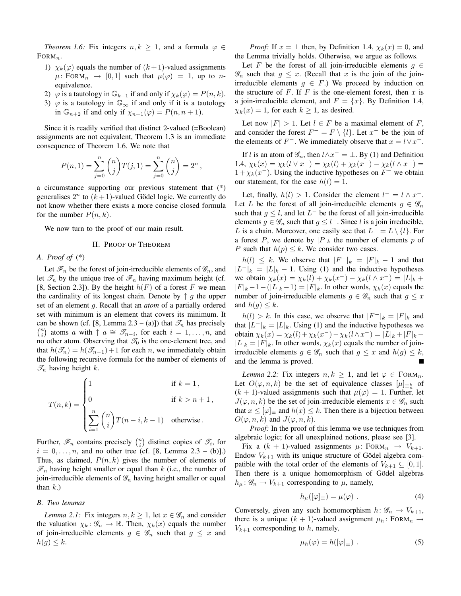*Theorem 1.6:* Fix integers  $n, k \geq 1$ , and a formula  $\varphi \in$  $FORM_n$ .

- 1)  $\chi_k(\varphi)$  equals the number of  $(k+1)$ -valued assignments  $\mu$ : FORM $_n \rightarrow [0, 1]$  such that  $\mu(\varphi) = 1$ , up to nequivalence.
- 2)  $\varphi$  is a tautology in  $\mathbb{G}_{k+1}$  if and only if  $\chi_k(\varphi) = P(n, k)$ .
- 3)  $\varphi$  is a tautology in  $\mathbb{G}_{\infty}$  if and only if it is a tautology in  $\mathbb{G}_{n+2}$  if and only if  $\chi_{n+1}(\varphi) = P(n, n+1)$ .

Since it is readily verified that distinct 2-valued (=Boolean) assignments are not equivalent, Theorem 1.3 is an immediate consequence of Theorem 1.6. We note that

$$
P(n, 1) = \sum_{j=0}^{n} {n \choose j} T(j, 1) = \sum_{j=0}^{n} {n \choose j} = 2^{n}
$$

,

a circumstance supporting our previous statement that (\*) generalises  $2^n$  to  $(k+1)$ -valued Gödel logic. We currently do not know whether there exists a more concise closed formula for the number  $P(n, k)$ .

We now turn to the proof of our main result.

## II. PROOF OF THEOREM

# *A. Proof of* (\*)

Let  $\mathscr{F}_n$  be the forest of join-irreducible elements of  $\mathscr{G}_n$ , and let  $\mathcal{T}_n$  by the unique tree of  $\mathcal{F}_n$  having maximum height (cf. [8, Section 2.3]). By the height  $h(F)$  of a forest F we mean the cardinality of its longest chain. Denote by  $\uparrow g$  the upper set of an element g. Recall that an *atom* of a partially ordered set with minimum is an element that covers its minimum. It can be shown (cf. [8, Lemma 2.3 – (a)]) that  $\mathcal{T}_n$  has precisely  $\binom{n}{i}$  atoms a with  $\uparrow$   $a \cong \mathscr{T}_{n-i}$ , for each  $i = 1, \ldots, n$ , and no other atom. Observing that  $\mathcal{T}_0$  is the one-element tree, and that  $h(\mathcal{T}_n) = h(\mathcal{T}_{n-1}) + 1$  for each n, we immediately obtain the following recursive formula for the number of elements of  $\mathscr{T}_n$  having height k.

$$
T(n,k) = \begin{cases} 1 & \text{if } k = 1, \\ 0 & \text{if } k > n+1, \\ \sum_{i=1}^{n} {n \choose i} T(n-i, k-1) & \text{otherwise.} \end{cases}
$$

Further,  $\mathscr{F}_n$  contains precisely  $\binom{n}{i}$  distinct copies of  $\mathscr{T}_i$ , for  $i = 0, ..., n$ , and no other tree (cf. [8, Lemma 2.3 – (b)].) Thus, as claimed,  $P(n, k)$  gives the number of elements of  $\mathscr{F}_n$  having height smaller or equal than k (i.e., the number of join-irreducible elements of  $\mathscr{G}_n$  having height smaller or equal than  $k$ .)

#### *B. Two lemmas*

*Lemma 2.1:* Fix integers  $n, k \geq 1$ , let  $x \in \mathscr{G}_n$  and consider the valuation  $\chi_k: \mathscr{G}_n \to \mathbb{R}$ . Then,  $\chi_k(x)$  equals the number of join-irreducible elements  $g \in \mathscr{G}_n$  such that  $g \leq x$  and  $h(g) \leq k$ .

*Proof:* If  $x = \perp$  then, by Definition 1.4,  $\chi_k(x) = 0$ , and the Lemma trivially holds. Otherwise, we argue as follows.

Let F be the forest of all join-irreducible elements  $q \in$  $\mathscr{G}_n$  such that  $g \leq x$ . (Recall that x is the join of the joinirreducible elements  $g \in F$ .) We proceed by induction on the structure of F. If F is the one-element forest, then x is a join-irreducible element, and  $F = \{x\}$ . By Definition 1.4,  $\chi_k(x) = 1$ , for each  $k \ge 1$ , as desired.

Let now  $|F| > 1$ . Let  $l \in F$  be a maximal element of F, and consider the forest  $F^- = F \setminus \{l\}$ . Let  $x^-$  be the join of the elements of  $F^-$ . We immediately observe that  $x = l \vee x^-$ .

If l is an atom of  $\mathscr{G}_n$ , then  $l \wedge x^- = \bot$ . By (1) and Definition 1.4,  $\chi_k(x) = \chi_k(l \vee x^-) = \chi_k(l) + \chi_k(x^-) - \chi_k(l \wedge x^-) =$  $1 + \chi_k(x^{-})$ . Using the inductive hypotheses on  $F^{-}$  we obtain our statement, for the case  $h(l) = 1$ .

Let, finally,  $h(l) > 1$ . Consider the element  $l^- = l \wedge x^-$ . Let L be the forest of all join-irreducible elements  $g \in \mathscr{G}_n$ such that  $g \leq l$ , and let  $L^-$  be the forest of all join-irreducible elements  $g \in \mathscr{G}_n$  such that  $g \leq l^-$ . Since l is a join irreducible, L is a chain. Moreover, one easily see that  $L^- = L \setminus \{l\}$ . For a forest P, we denote by  $|P|_k$  the number of elements p of P such that  $h(p) \leq k$ . We consider two cases.

 $h(l) \leq k$ . We observe that  $|F^{-}|_k = |F|_k - 1$  and that  $|L^-|_k = |L|_k - 1$ . Using (1) and the inductive hypotheses we obtain  $\chi_k(x) = \chi_k(l) + \chi_k(x^{-}) - \chi_k(l \wedge x^{-}) = |L|_k +$  $|F|_k - 1 - (|L|_k - 1) = |F|_k$ . In other words,  $\chi_k(x)$  equals the number of join-irreducible elements  $g \in \mathscr{G}_n$  such that  $g \leq x$ and  $h(g) \leq k$ .

 $h(l) > k$ . In this case, we observe that  $|F^{-}|_k = |F|_k$  and that  $|L^-|_k = |L|_k$ . Using (1) and the inductive hypotheses we obtain  $\chi_k(x) = \chi_k(l) + \chi_k(x^{-}) - \chi_k(l \wedge x^{-}) = |L|_k + |F|_k |L|_k = |F|_k$ . In other words,  $\chi_k(x)$  equals the number of joinirreducible elements  $g \in \mathscr{G}_n$  such that  $g \leq x$  and  $h(g) \leq k$ , and the lemma is proved.

*Lemma 2.2:* Fix integers  $n, k \geq 1$ , and let  $\varphi \in \text{FORM}_n$ . Let  $O(\varphi, n, k)$  be the set of equivalence classes  $[\mu]_{\equiv_{n}^{k}}$  of  $(k + 1)$ -valued assignments such that  $\mu(\varphi) = 1$ . Further, let  $J(\varphi, n, k)$  be the set of join-irreducible elements  $x \in \mathscr{G}_n$  such that  $x \leq |\varphi|$  and  $h(x) \leq k$ . Then there is a bijection between  $O(\varphi, n, k)$  and  $J(\varphi, n, k)$ .

*Proof:* In the proof of this lemma we use techniques from algebraic logic; for all unexplained notions, please see [3].

Fix a  $(k + 1)$ -valued assignments  $\mu$ : FORM<sub>n</sub>  $\rightarrow$  V<sub>k+1</sub>. Endow  $V_{k+1}$  with its unique structure of Gödel algebra compatible with the total order of the elements of  $V_{k+1} \subseteq [0,1]$ . Then there is a unique homomorphism of Gödel algebras  $h_{\mu}$ :  $\mathscr{G}_n \to V_{k+1}$  corresponding to  $\mu$ , namely,

$$
h_{\mu}([\varphi]_{\equiv}) = \mu(\varphi) . \tag{4}
$$

Conversely, given any such homomorphism  $h: \mathscr{G}_n \to V_{k+1}$ , there is a unique  $(k + 1)$ -valued assignment  $\mu_h$ : FORM<sub>n</sub>  $\rightarrow$  $V_{k+1}$  corresponding to h, namely,

$$
\mu_h(\varphi) = h([\varphi]_\equiv) \tag{5}
$$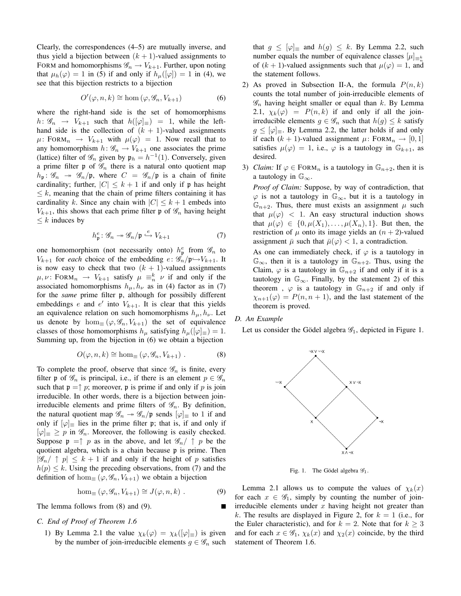Clearly, the correspondences (4–5) are mutually inverse, and thus yield a bijection between  $(k + 1)$ -valued assignments to FORM and homomorphisms  $\mathscr{G}_n \to V_{k+1}$ . Further, upon noting that  $\mu_h(\varphi) = 1$  in (5) if and only if  $h_\mu([\varphi]) = 1$  in (4), we see that this bijection restricts to a bijection

$$
O'(\varphi, n, k) \cong \text{hom}(\varphi, \mathcal{G}_n, V_{k+1})
$$
 (6)

where the right-hand side is the set of homomorphisms  $h: \mathscr{G}_n \longrightarrow V_{k+1}$  such that  $h([\varphi]_{\equiv}) = 1$ , while the lefthand side is the collection of  $(k + 1)$ -valued assignments  $\mu$ : FORM $_n \rightarrow V_{k+1}$  with  $\mu(\varphi) = 1$ . Now recall that to any homomorphism  $h: \mathscr{G}_n \to V_{k+1}$  one associates the prime (lattice) filter of  $\mathcal{G}_n$  given by  $\mathfrak{p}_h = h^{-1}(1)$ . Conversely, given a prime filter  $\mathfrak p$  of  $\mathscr G_n$  there is a natural onto quotient map  $h_{\mathfrak{p}}: \mathscr{G}_n \to \mathscr{G}_n/\mathfrak{p}$ , where  $C = \mathscr{G}_n/\mathfrak{p}$  is a chain of finite cardinality; further,  $|C| \leq k + 1$  if and only if p has height  $\leq k$ , meaning that the chain of prime filters containing it has cardinality k. Since any chain with  $|C| \leq k+1$  embeds into  $V_{k+1}$ , this shows that each prime filter p of  $\mathscr{G}_n$  having height  $\leq k$  induces by

$$
h_{\mathfrak{p}}^{e} : \mathscr{G}_{n} \to \mathscr{G}_{n}/\mathfrak{p} \stackrel{e}{\hookrightarrow} V_{k+1}
$$
 (7)

one homomorphism (not necessarily onto)  $h_{\mathfrak{p}}^e$  from  $\mathscr{G}_n$  to  $V_{k+1}$  for *each* choice of the embedding  $e: \mathscr{G}_n/\mathfrak{p} \rightarrow V_{k+1}$ . It is now easy to check that two  $(k + 1)$ -valued assignments  $\mu, \nu$ : FORM $_n \rightarrow V_{k+1}$  satisfy  $\mu \equiv_n^k \nu$  if and only if the associated homomorphisms  $h_{\mu}$ ,  $h_{\nu}$  as in (4) factor as in (7) for the *same* prime filter p, although for possibily different embeddings e and e' into  $V_{k+1}$ . It is clear that this yields an equivalence relation on such homomorphisms  $h_{\mu}, h_{\nu}$ . Let us denote by  $\hom_{\equiv}(\varphi,\mathscr{G}_n,V_{k+1})$  the set of equivalence classes of those homomorphisms  $h_{\mu}$  satisfying  $h_{\mu}([\varphi]_{\equiv}) = 1$ . Summing up, from the bijection in (6) we obtain a bijection

$$
O(\varphi, n, k) \cong \text{hom}_{\equiv} (\varphi, \mathscr{G}_n, V_{k+1}) . \tag{8}
$$

To complete the proof, observe that since  $\mathscr{G}_n$  is finite, every filter p of  $\mathscr{G}_n$  is principal, i.e., if there is an element  $p \in \mathscr{G}_n$ such that  $p = \uparrow p$ ; moreover, p is prime if and only if p is join irreducible. In other words, there is a bijection between joinirreducible elements and prime filters of  $\mathscr{G}_n$ . By definition, the natural quotient map  $\mathscr{G}_n \to \mathscr{G}_n/\mathfrak{p}$  sends  $[\varphi]_\equiv$  to 1 if and only if  $[\varphi]$  = lies in the prime filter p; that is, if and only if  $[\varphi]_{\equiv} \geq p$  in  $\mathscr{G}_n$ . Moreover, the following is easily checked. Suppose  $\mathfrak{p} = \uparrow p$  as in the above, and let  $\mathscr{G}_n / \uparrow p$  be the quotient algebra, which is a chain because p is prime. Then  $|\mathscr{G}_n f| \uparrow p| \leq k+1$  if and only if the height of p satisfies  $h(p) \leq k$ . Using the preceding observations, from (7) and the definition of hom $(\varphi, \mathscr{G}_n, V_{k+1})$  we obtain a bijection

$$
\hom_{\equiv}(\varphi, \mathscr{G}_n, V_{k+1}) \cong J(\varphi, n, k) . \tag{9}
$$

The lemma follows from (8) and (9).

## *C. End of Proof of Theorem 1.6*

1) By Lemma 2.1 the value  $\chi_k(\varphi) = \chi_k([\varphi]_{\equiv})$  is given by the number of join-irreducible elements  $g \in \mathscr{G}_n$  such

that  $g \leq [\varphi]_{\equiv}$  and  $h(g) \leq k$ . By Lemma 2.2, such number equals the number of equivalence classes  $[\mu]_{\equiv \frac{k}{n}}$ of  $(k + 1)$ -valued assignments such that  $\mu(\varphi) = 1$ , and the statement follows.

- 2) As proved in Subsection II-A, the formula  $P(n, k)$ counts the total number of join-irreducible elements of  $\mathscr{G}_n$  having height smaller or equal than k. By Lemma 2.1,  $\chi_k(\varphi) = P(n, k)$  if and only if all the joinirreducible elements  $g \in \mathscr{G}_n$  such that  $h(g) \leq k$  satisfy  $g \leq [\varphi]_{\equiv}$ . By Lemma 2.2, the latter holds if and only if each  $(k + 1)$ -valued assignment  $\mu$ : FORM<sub>n</sub>  $\rightarrow$  [0, 1] satisfies  $\mu(\varphi) = 1$ , i.e.,  $\varphi$  is a tautology in  $\mathbb{G}_{k+1}$ , as desired.
- 3) *Claim:* If  $\varphi \in \text{FORM}_n$  is a tautology in  $\mathbb{G}_{n+2}$ , then it is a tautology in  $\mathbb{G}_{\infty}$ .

*Proof of Claim:* Suppose, by way of contradiction, that  $\varphi$  is not a tautology in  $\mathbb{G}_{\infty}$ , but it is a tautology in  $\mathbb{G}_{n+2}$ . Thus, there must exists an assignment  $\mu$  such that  $\mu(\varphi)$  < 1. An easy structural induction shows that  $\mu(\varphi) \in \{0, \mu(X_1), \ldots, \mu(X_n), 1\}$ . But then, the restriction of  $\mu$  onto its image yields an  $(n + 2)$ -valued assignment  $\bar{\mu}$  such that  $\bar{\mu}(\varphi) < 1$ , a contradiction.

As one can immediately check, if  $\varphi$  is a tautology in  $\mathbb{G}_{\infty}$ , then it is a tautology in  $\mathbb{G}_{n+2}$ . Thus, using the Claim,  $\varphi$  is a tautology in  $\mathbb{G}_{n+2}$  if and only if it is a tautology in  $\mathbb{G}_{\infty}$ . Finally, by the statement 2) of this theorem,  $\varphi$  is a tautology in  $\mathbb{G}_{n+2}$  if and only if  $\chi_{n+1}(\varphi) = P(n, n+1)$ , and the last statement of the theorem is proved.

## *D. An Example*

П

Let us consider the Gödel algebra  $\mathscr{G}_1$ , depicted in Figure 1.



Fig. 1. The Gödel algebra  $\mathscr{G}_1$ .

Lemma 2.1 allows us to compute the values of  $\chi_k(x)$ for each  $x \in \mathscr{G}_1$ , simply by counting the number of joinirreducible elements under  $x$  having height not greater than k. The results are displayed in Figure 2, for  $k = 1$  (i.e., for the Euler characteristic), and for  $k = 2$ . Note that for  $k \geq 3$ and for each  $x \in \mathscr{G}_1$ ,  $\chi_k(x)$  and  $\chi_2(x)$  coincide, by the third statement of Theorem 1.6.